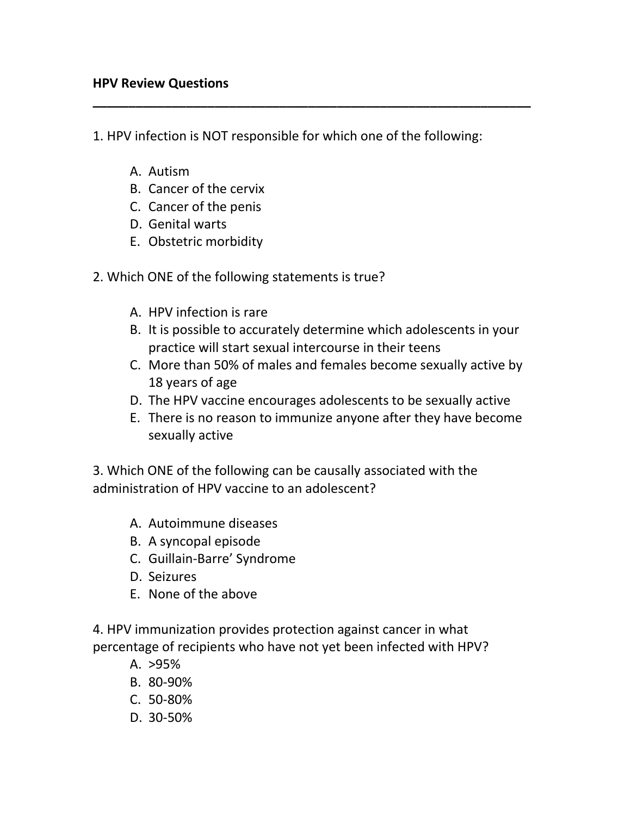1. HPV infection is NOT responsible for which one of the following:

**\_\_\_\_\_\_\_\_\_\_\_\_\_\_\_\_\_\_\_\_\_\_\_\_\_\_\_\_\_\_\_\_\_\_\_\_\_\_\_\_\_\_\_\_\_\_\_\_\_\_\_\_\_\_\_\_\_\_\_\_\_**

- A. Autism
- B. Cancer of the cervix
- C. Cancer of the penis
- D. Genital warts
- E. Obstetric morbidity
- 2. Which ONE of the following statements is true?
	- A. HPV infection is rare
	- B. It is possible to accurately determine which adolescents in your practice will start sexual intercourse in their teens
	- C. More than 50% of males and females become sexually active by 18 years of age
	- D. The HPV vaccine encourages adolescents to be sexually active
	- E. There is no reason to immunize anyone after they have become sexually active

3. Which ONE of the following can be causally associated with the administration of HPV vaccine to an adolescent?

- A. Autoimmune diseases
- B. A syncopal episode
- C. Guillain-Barre' Syndrome
- D. Seizures
- E. None of the above

4. HPV immunization provides protection against cancer in what percentage of recipients who have not yet been infected with HPV?

- A. >95%
- B. 80-90%
- C. 50-80%
- D. 30-50%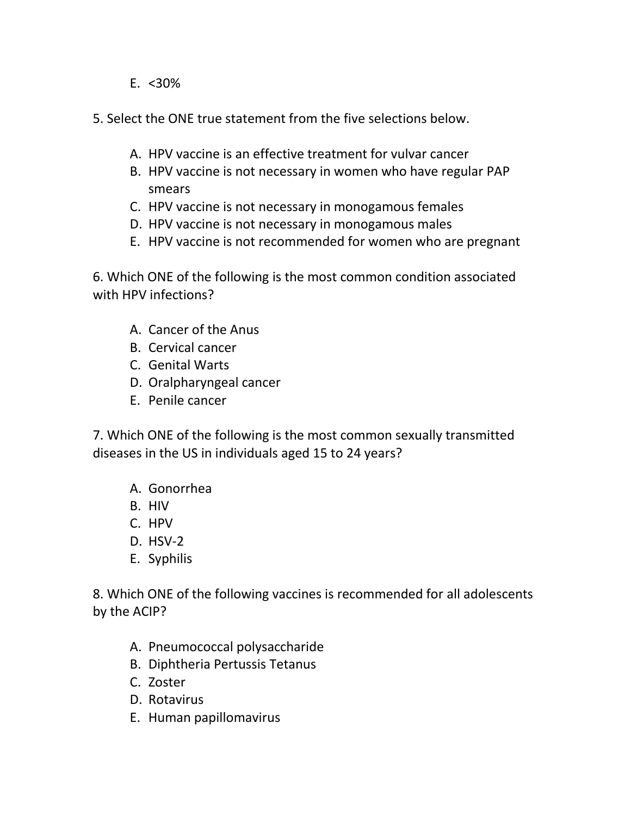E.  $< 30\%$ 

5. Select the ONE true statement from the five selections below.

- A. HPV vaccine is an effective treatment for vulvar cancer
- B. HPV vaccine is not necessary in women who have regular PAP smears
- C. HPV vaccine is not necessary in monogamous females
- D. HPV vaccine is not necessary in monogamous males
- E. HPV vaccine is not recommended for women who are pregnant

6. Which ONE of the following is the most common condition associated with HPV infections?

- A. Cancer of the Anus
- B. Cervical cancer
- C. Genital Warts
- D. Oralpharyngeal cancer
- E. Penile cancer

7. Which ONE of the following is the most common sexually transmitted diseases in the US in individuals aged 15 to 24 years?

- A. Gonorrhea
- B. HIV
- C. HPV
- D. HSV-2
- E. Syphilis

8. Which ONE of the following vaccines is recommended for all adolescents by the ACIP?

- A. Pneumococcal polysaccharide
- B. Diphtheria Pertussis Tetanus
- C. Zoster
- D. Rotavirus
- E. Human papillomavirus